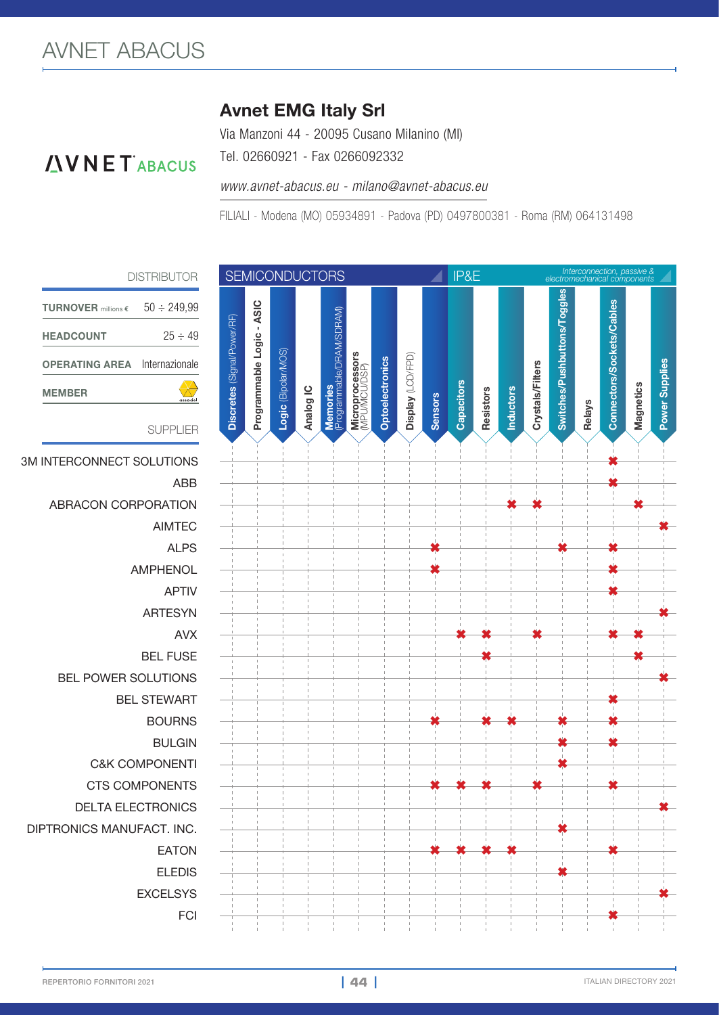#### Avnet EMG Italy Srl

Tel. 02660921 - Fax 0266092332

Via Manzoni 44 - 20095 Cusano Milanino (MI)

#### *INNET ABACUS*

TURNOVER millions **€**

HEADCOUNT

#### *www.avnet-abacus.eu - milano@avnet-abacus.eu*

FILIALI - Modena (MO) 05934891 - Padova (PD) 0497800381 - Roma (RM) 064131498



OPERATING AREA Internazionale  $\infty$ MEMBER SUPPLIER **3M INTERCONNECT SOLUTIONS ABRACON CORPORATION BEL POWER SOLUTIONS BEL STEWART** C&K COMPONENTI **✖** CTS COMPONENTS **✖ ✖ ✖ ✖ ✖ DELTA ELECTRONICS** DIPTRONICS MANUFACT. INC.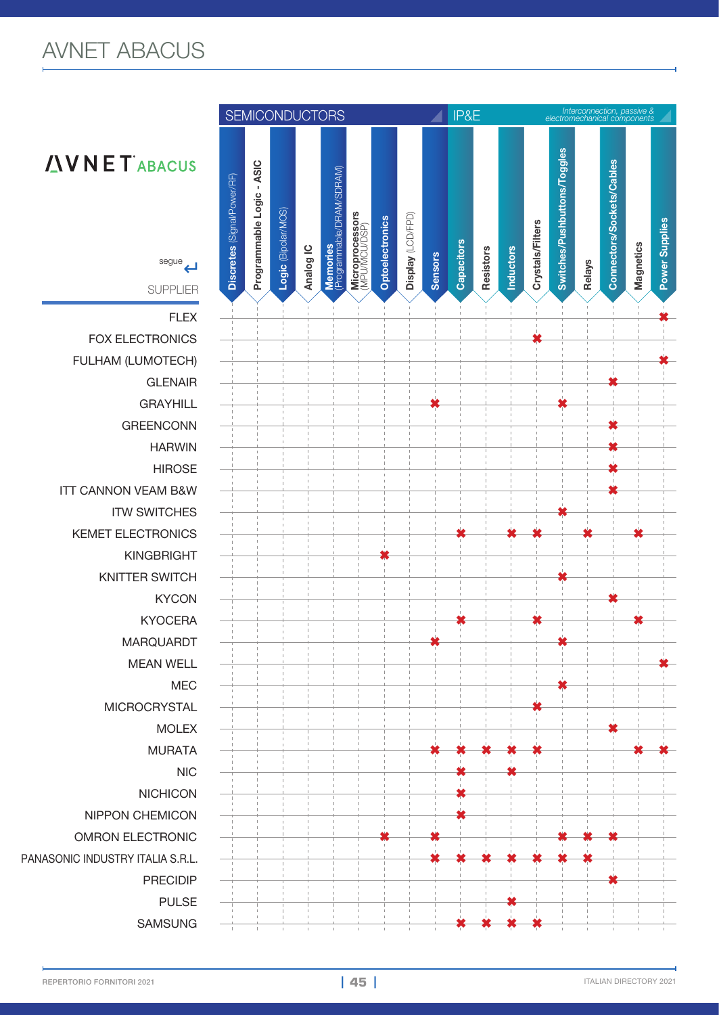## AVNET ABACUS



# **AVNET** ABACUS

SUPPLIER

**FOX ELECTRONICS FULHAM (LUMOTECH)** GREENCONN **✖ ITT CANNON VEAM B&W ITW SWITCHES KEMET ELECTRONICS** KINGBRIGHT **✖** KNITTER SWITCH **✖** MARQUARDT **✖ ✖** MICROCRYSTAL **✖** NICHICON **✖** NIPPON CHEMICON **✖ OMRON ELECTRONIC**  $PANASONIC INDUSTRY ITALLA S.R.L.$  $SAMSUNG$